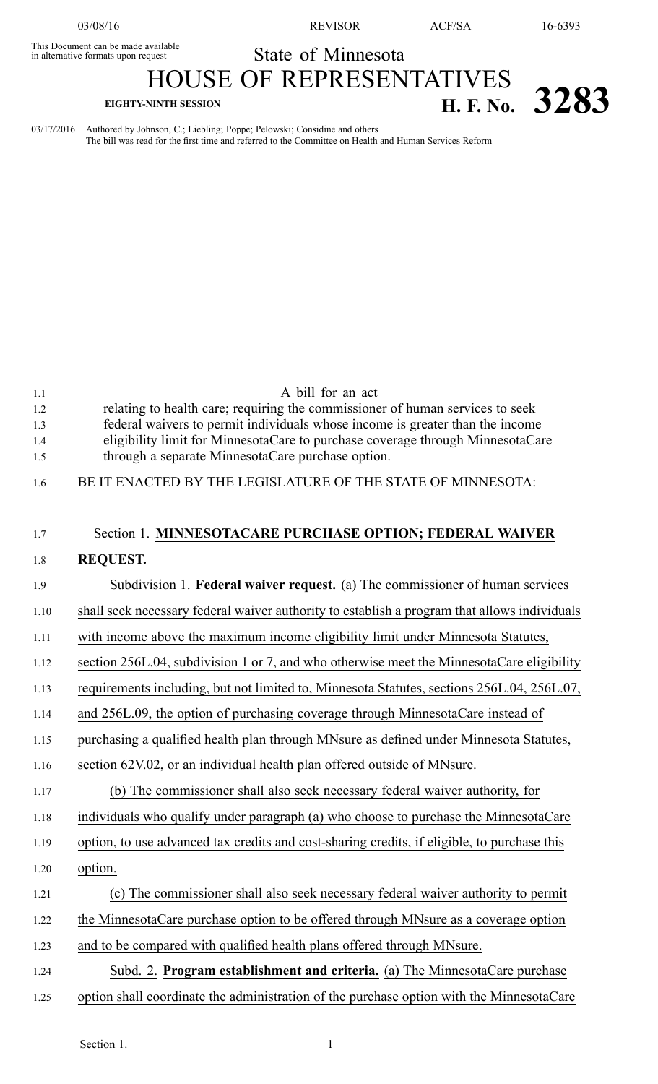This Document can be made available

03/08/16 REVISOR ACF/SA 16-6393

## State of Minnesota

## HOUSE OF REPRESENTATIVES **EIGHTY-NINTH SESSION H. F. No. 3283**

03/17/2016 Authored by Johnson, C.; Liebling; Poppe; Pelowski; Considine and others The bill was read for the first time and referred to the Committee on Health and Human Services Reform

| 1.1  | A bill for an act                                                                            |
|------|----------------------------------------------------------------------------------------------|
| 1.2  | relating to health care; requiring the commissioner of human services to seek                |
| 1.3  | federal waivers to permit individuals whose income is greater than the income                |
| 1.4  | eligibility limit for MinnesotaCare to purchase coverage through MinnesotaCare               |
| 1.5  | through a separate MinnesotaCare purchase option.                                            |
| 1.6  | BE IT ENACTED BY THE LEGISLATURE OF THE STATE OF MINNESOTA:                                  |
| 1.7  | Section 1. MINNESOTACARE PURCHASE OPTION; FEDERAL WAIVER                                     |
| 1.8  | <b>REQUEST.</b>                                                                              |
| 1.9  | Subdivision 1. <b>Federal waiver request.</b> (a) The commissioner of human services         |
| 1.10 | shall seek necessary federal waiver authority to establish a program that allows individuals |
| 1.11 | with income above the maximum income eligibility limit under Minnesota Statutes,             |
| 1.12 | section 256L.04, subdivision 1 or 7, and who otherwise meet the MinnesotaCare eligibility    |
| 1.13 | requirements including, but not limited to, Minnesota Statutes, sections 256L.04, 256L.07,   |
| 1.14 | and 256L.09, the option of purchasing coverage through MinnesotaCare instead of              |
| 1.15 | purchasing a qualified health plan through MNsure as defined under Minnesota Statutes,       |
| 1.16 | section 62V.02, or an individual health plan offered outside of MNsure.                      |
| 1.17 | (b) The commissioner shall also seek necessary federal waiver authority, for                 |
| 1.18 | individuals who qualify under paragraph (a) who choose to purchase the MinnesotaCare         |
| 1.19 | option, to use advanced tax credits and cost-sharing credits, if eligible, to purchase this  |
| 1.20 | option.                                                                                      |
| 1.21 | (c) The commissioner shall also seek necessary federal waiver authority to permit            |
| 1.22 | the MinnesotaCare purchase option to be offered through MNsure as a coverage option          |
| 1.23 | and to be compared with qualified health plans offered through MNsure.                       |
| 1.24 | Subd. 2. Program establishment and criteria. (a) The MinnesotaCare purchase                  |
| 1.25 | option shall coordinate the administration of the purchase option with the MinnesotaCare     |